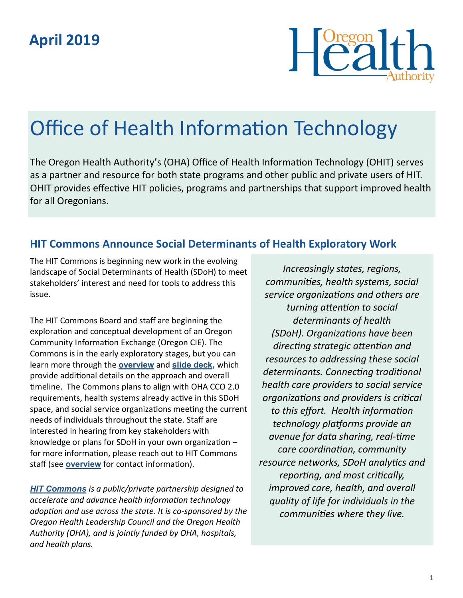## **April 2019**



# Office of Health Information Technology

The Oregon Health Authority's (OHA) Office of Health Information Technology (OHIT) serves as a partner and resource for both state programs and other public and private users of HIT. OHIT provides effective HIT policies, programs and partnerships that support improved health for all Oregonians.

### **HIT Commons Announce Social Determinants of Health Exploratory Work**

The HIT Commons is beginning new work in the evolving landscape of Social Determinants of Health (SDoH) to meet stakeholders' interest and need for tools to address this issue.

The HIT Commons Board and staff are beginning the exploration and conceptual development of an Oregon Community Information Exchange (Oregon CIE). The Commons is in the early exploratory stages, but you can learn more through the **[overview](https://www.oregon.gov/oha/HPA/OHIT/Documents/OregonCIEOverview.pdf)** and **[slide deck,](https://www.oregon.gov/oha/HPA/OHIT/Documents/OregonCIESlides.pdf)** which provide additional details on the approach and overall timeline. The Commons plans to align with OHA CCO 2.0 requirements, health systems already active in this SDoH space, and social service organizations meeting the current needs of individuals throughout the state. Staff are interested in hearing from key stakeholders with knowledge or plans for SDoH in your own organization – for more information, please reach out to HIT Commons staff (see **[overview](https://www.oregon.gov/oha/HPA/OHIT/Documents/OregonCIEOverview.pdf)** for contact information).

*[HIT Commons](http://www.orhealthleadershipcouncil.org/hit-commons/) is a public/private partnership designed to accelerate and advance health information technology adoption and use across the state. It is co-sponsored by the Oregon Health Leadership Council and the Oregon Health Authority (OHA), and is jointly funded by OHA, hospitals, and health plans.*

*Increasingly states, regions, communities, health systems, social service organizations and others are turning attention to social determinants of health (SDoH). Organizations have been directing strategic attention and resources to addressing these social determinants. Connecting traditional health care providers to social service organizations and providers is critical to this effort. Health information technology platforms provide an avenue for data sharing, real-time care coordination, community resource networks, SDoH analytics and reporting, and most critically, improved care, health, and overall quality of life for individuals in the communities where they live.*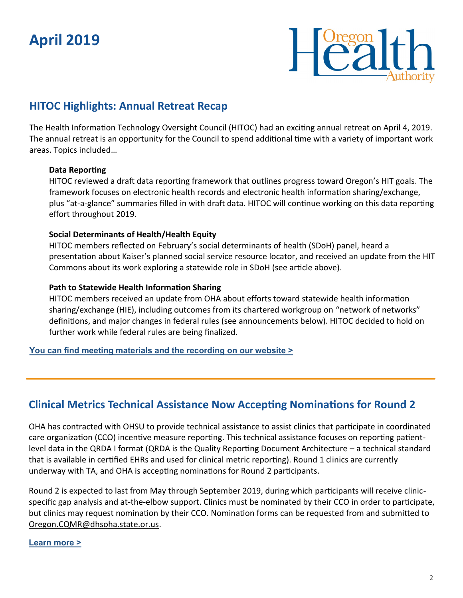## **April 2019**



## **HITOC Highlights: Annual Retreat Recap**

The Health Information Technology Oversight Council (HITOC) had an exciting annual retreat on April 4, 2019. The annual retreat is an opportunity for the Council to spend additional time with a variety of important work areas. Topics included…

#### **Data Reporting**

HITOC reviewed a draft data reporting framework that outlines progress toward Oregon's HIT goals. The framework focuses on electronic health records and electronic health information sharing/exchange, plus "at-a-glance" summaries filled in with draft data. HITOC will continue working on this data reporting effort throughout 2019.

#### **Social Determinants of Health/Health Equity**

HITOC members reflected on February's social determinants of health (SDoH) panel, heard a presentation about Kaiser's planned social service resource locator, and received an update from the HIT Commons about its work exploring a statewide role in SDoH (see article above).

#### **Path to Statewide Health Information Sharing**

HITOC members received an update from OHA about efforts toward statewide health information sharing/exchange (HIE), including outcomes from its chartered workgroup on "network of networks" definitions, and major changes in federal rules (see announcements below). HITOC decided to hold on further work while federal rules are being finalized.

**[You can find meeting materials and the recording on our website >](https://www.oregon.gov/oha/HPA/OHIT-HITOC/Pages/HITOC-Meetings.aspx)**

### **Clinical Metrics Technical Assistance Now Accepting Nominations for Round 2**

OHA has contracted with OHSU to provide technical assistance to assist clinics that participate in coordinated care organization (CCO) incentive measure reporting. This technical assistance focuses on reporting patientlevel data in the QRDA I format (QRDA is the Quality Reporting Document Architecture – a technical standard that is available in certified EHRs and used for clinical metric reporting). Round 1 clinics are currently underway with TA, and OHA is accepting nominations for Round 2 participants.

Round 2 is expected to last from May through September 2019, during which participants will receive clinicspecific gap analysis and at-the-elbow support. Clinics must be nominated by their CCO in order to participate, but clinics may request nomination by their CCO. Nomination forms can be requested from and submitted to [Oregon.CQMR@dhsoha.state.or.us.](mailto:Oregon.CQMR@dhsoha.state.or.us)

#### **[Learn more >](https://www.oregon.gov/oha/HPA/OHIT/Pages/CQMR-QRDA-I-Technical-Assistance-.aspx)**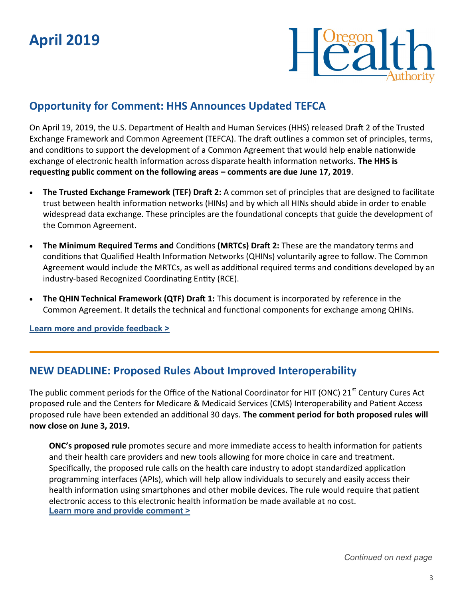

## **Opportunity for Comment: HHS Announces Updated TEFCA**

On April 19, 2019, the U.S. Department of Health and Human Services (HHS) released Draft 2 of the Trusted Exchange Framework and Common Agreement (TEFCA). The draft outlines a common set of principles, terms, and conditions to support the development of a Common Agreement that would help enable nationwide exchange of electronic health information across disparate health information networks. **The HHS is requesting public comment on the following areas – comments are due June 17, 2019**.

- **The Trusted Exchange Framework (TEF) Draft 2:** A common set of principles that are designed to facilitate trust between health information networks (HINs) and by which all HINs should abide in order to enable widespread data exchange. These principles are the foundational concepts that guide the development of the Common Agreement.
- **The Minimum Required Terms and** Conditions **(MRTCs) Draft 2:** These are the mandatory terms and conditions that Qualified Health Information Networks (QHINs) voluntarily agree to follow. The Common Agreement would include the MRTCs, as well as additional required terms and conditions developed by an industry-based Recognized Coordinating Entity (RCE).
- **The QHIN Technical Framework (QTF) Draft 1:** This document is incorporated by reference in the Common Agreement. It details the technical and functional components for exchange among QHINs.

**[Learn more and provide feedback >](https://www.healthit.gov/topic/interoperability/trusted-exchange-framework-and-common-agreement)**

### **NEW DEADLINE: Proposed Rules About Improved Interoperability**

The public comment periods for the Office of the National Coordinator for HIT (ONC) 21<sup>st</sup> Century Cures Act proposed rule and the Centers for Medicare & Medicaid Services (CMS) Interoperability and Patient Access proposed rule have been extended an additional 30 days. **The comment period for both proposed rules will now close on June 3, 2019.**

**ONC's proposed rule** promotes secure and more immediate access to health information for patients and their health care providers and new tools allowing for more choice in care and treatment. Specifically, the proposed rule calls on the health care industry to adopt standardized application programming interfaces (APIs), which will help allow individuals to securely and easily access their health information using smartphones and other mobile devices. The rule would require that patient electronic access to this electronic health information be made available at no cost. **[Learn more and provide comment >](https://www.federalregister.gov/documents/2019/03/04/2019-02200/medicare-and-medicaid-programs-patient-protection-and-affordable-care-act-interoperability-and)**